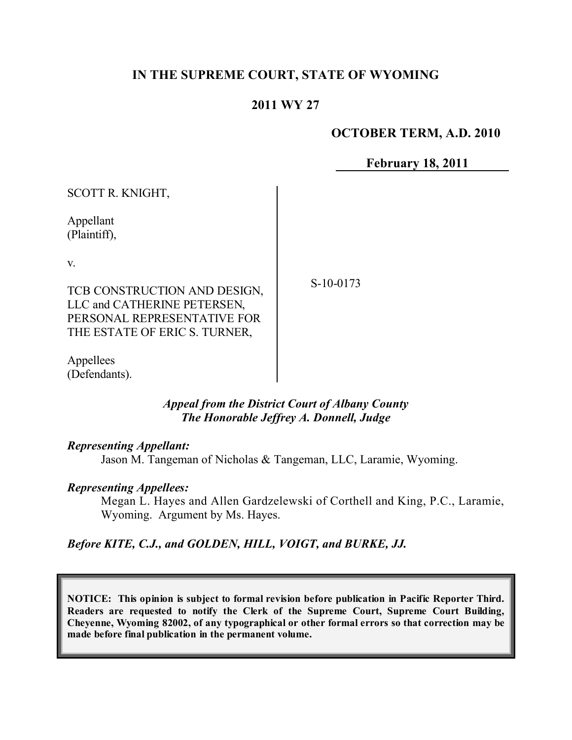# **IN THE SUPREME COURT, STATE OF WYOMING**

## **2011 WY 27**

#### **OCTOBER TERM, A.D. 2010**

**February 18, 2011**

| SCOTT R. KNIGHT,                                                                                                            |          |
|-----------------------------------------------------------------------------------------------------------------------------|----------|
| Appellant<br>(Plaintiff),                                                                                                   |          |
| V.                                                                                                                          |          |
| TCB CONSTRUCTION AND DESIGN,<br>LLC and CATHERINE PETERSEN,<br>PERSONAL REPRESENTATIVE FOR<br>THE ESTATE OF ERIC S. TURNER, | $S-10-0$ |

Appellees (Defendants).

### *Appeal from the District Court of Albany County The Honorable Jeffrey A. Donnell, Judge*

#### *Representing Appellant:*

Jason M. Tangeman of Nicholas & Tangeman, LLC, Laramie, Wyoming.

#### *Representing Appellees:*

Megan L. Hayes and Allen Gardzelewski of Corthell and King, P.C., Laramie, Wyoming. Argument by Ms. Hayes.

## *Before KITE, C.J., and GOLDEN, HILL, VOIGT, and BURKE, JJ.*

**NOTICE: This opinion is subject to formal revision before publication in Pacific Reporter Third. Readers are requested to notify the Clerk of the Supreme Court, Supreme Court Building, Cheyenne, Wyoming 82002, of any typographical or other formal errors so that correction may be made before final publication in the permanent volume.**

0173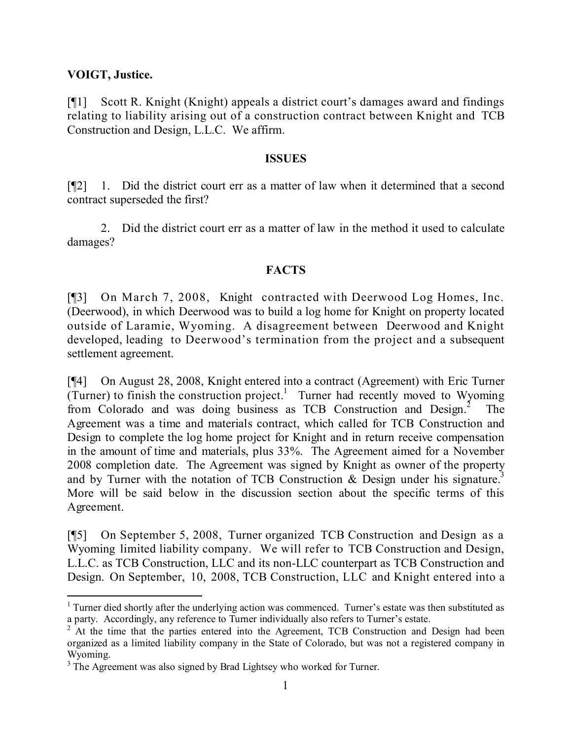### **VOIGT, Justice.**

l

[¶1] Scott R. Knight (Knight) appeals a district court's damages award and findings relating to liability arising out of a construction contract between Knight and TCB Construction and Design, L.L.C. We affirm.

#### **ISSUES**

[¶2] 1. Did the district court err as a matter of law when it determined that a second contract superseded the first?

2. Did the district court err as a matter of law in the method it used to calculate damages?

## **FACTS**

[¶3] On March 7, 2008, Knight contracted with Deerwood Log Homes, Inc. (Deerwood), in which Deerwood was to build a log home for Knight on property located outside of Laramie, Wyoming. A disagreement between Deerwood and Knight developed, leading to Deerwood's termination from the project and a subsequent settlement agreement.

[¶4] On August 28, 2008, Knight entered into a contract (Agreement) with Eric Turner  $(Turner)$  to finish the construction project.<sup>1</sup> Turner had recently moved to Wyoming from Colorado and was doing business as TCB Construction and Design.<sup>2</sup> The Agreement was a time and materials contract, which called for TCB Construction and Design to complete the log home project for Knight and in return receive compensation in the amount of time and materials, plus 33%. The Agreement aimed for a November 2008 completion date. The Agreement was signed by Knight as owner of the property and by Turner with the notation of TCB Construction & Design under his signature.<sup>3</sup> More will be said below in the discussion section about the specific terms of this Agreement.

[¶5] On September 5, 2008, Turner organized TCB Construction and Design as a Wyoming limited liability company. We will refer to TCB Construction and Design, L.L.C. as TCB Construction, LLC and its non-LLC counterpart as TCB Construction and Design. On September, 10, 2008, TCB Construction, LLC and Knight entered into a

<sup>&</sup>lt;sup>1</sup> Turner died shortly after the underlying action was commenced. Turner's estate was then substituted as a party. Accordingly, any reference to Turner individually also refers to Turner's estate.

<sup>&</sup>lt;sup>2</sup> At the time that the parties entered into the Agreement, TCB Construction and Design had been organized as a limited liability company in the State of Colorado, but was not a registered company in Wyoming.

<sup>&</sup>lt;sup>3</sup> The Agreement was also signed by Brad Lightsey who worked for Turner.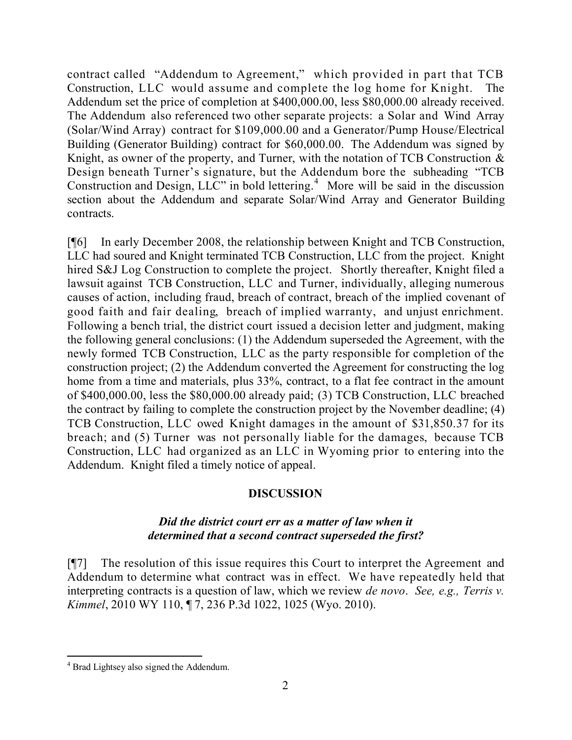contract called "Addendum to Agreement," which provided in part that TCB Construction, LLC would assume and complete the log home for Knight. The Addendum set the price of completion at \$400,000.00, less \$80,000.00 already received. The Addendum also referenced two other separate projects: a Solar and Wind Array (Solar/Wind Array) contract for \$109,000.00 and a Generator/Pump House/Electrical Building (Generator Building) contract for \$60,000.00. The Addendum was signed by Knight, as owner of the property, and Turner, with the notation of TCB Construction  $\&$ Design beneath Turner's signature, but the Addendum bore the subheading "TCB Construction and Design, LLC" in bold lettering.<sup>4</sup> More will be said in the discussion section about the Addendum and separate Solar/Wind Array and Generator Building contracts.

[¶6] In early December 2008, the relationship between Knight and TCB Construction, LLC had soured and Knight terminated TCB Construction, LLC from the project. Knight hired S&J Log Construction to complete the project. Shortly thereafter, Knight filed a lawsuit against TCB Construction, LLC and Turner, individually, alleging numerous causes of action, including fraud, breach of contract, breach of the implied covenant of good faith and fair dealing, breach of implied warranty, and unjust enrichment. Following a bench trial, the district court issued a decision letter and judgment, making the following general conclusions: (1) the Addendum superseded the Agreement, with the newly formed TCB Construction, LLC as the party responsible for completion of the construction project; (2) the Addendum converted the Agreement for constructing the log home from a time and materials, plus  $33\%$ , contract, to a flat fee contract in the amount of \$400,000.00, less the \$80,000.00 already paid; (3) TCB Construction, LLC breached the contract by failing to complete the construction project by the November deadline; (4) TCB Construction, LLC owed Knight damages in the amount of \$31,850.37 for its breach; and (5) Turner was not personally liable for the damages, because TCB Construction, LLC had organized as an LLC in Wyoming prior to entering into the Addendum. Knight filed a timely notice of appeal.

## **DISCUSSION**

### *Did the district court err as a matter of law when it determined that a second contract superseded the first?*

[¶7] The resolution of this issue requires this Court to interpret the Agreement and Addendum to determine what contract was in effect. We have repeatedly held that interpreting contracts is a question of law, which we review *de novo*. *See, e.g., Terris v. Kimmel*, 2010 WY 110, ¶ 7, 236 P.3d 1022, 1025 (Wyo. 2010).

 $\overline{a}$ <sup>4</sup> Brad Lightsey also signed the Addendum.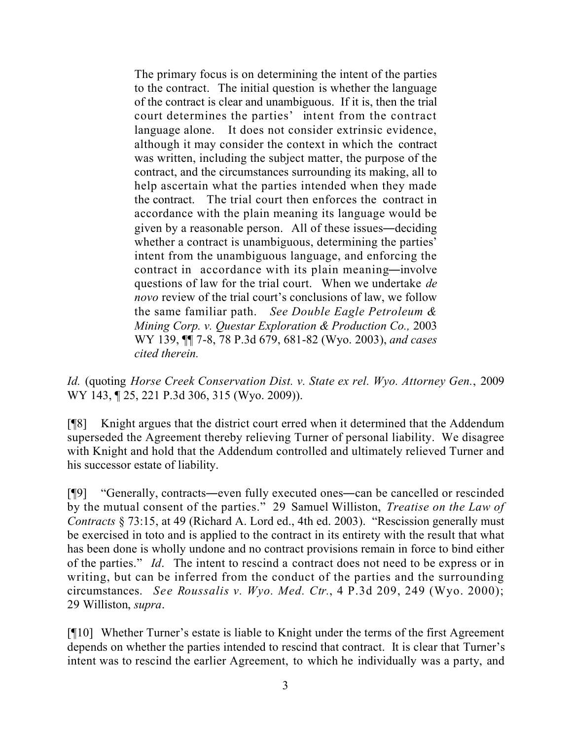The primary focus is on determining the intent of the parties to the contract. The initial question is whether the language of the contract is clear and unambiguous. If it is, then the trial court determines the parties' intent from the contract language alone. It does not consider extrinsic evidence, although it may consider the context in which the contract was written, including the subject matter, the purpose of the contract, and the circumstances surrounding its making, all to help ascertain what the parties intended when they made the contract. The trial court then enforces the contract in accordance with the plain meaning its language would be given by a reasonable person. All of these issues―deciding whether a contract is unambiguous, determining the parties' intent from the unambiguous language, and enforcing the contract in accordance with its plain meaning―involve questions of law for the trial court. When we undertake *de novo* review of the trial court's conclusions of law, we follow the same familiar path. *See Double Eagle Petroleum & Mining Corp. v. Questar Exploration & Production Co.,* 2003 WY 139, ¶¶ 7-8, 78 P.3d 679, 681-82 (Wyo. 2003), *and cases cited therein.*

*Id.* (quoting *Horse Creek Conservation Dist. v. State ex rel. Wyo. Attorney Gen.*, 2009 WY 143, ¶ 25, 221 P.3d 306, 315 (Wyo. 2009)).

[¶8] Knight argues that the district court erred when it determined that the Addendum superseded the Agreement thereby relieving Turner of personal liability. We disagree with Knight and hold that the Addendum controlled and ultimately relieved Turner and his successor estate of liability.

[¶9] "Generally, contracts―even fully executed ones―can be cancelled or rescinded by the mutual consent of the parties." 29 Samuel Williston, *Treatise on the Law of Contracts* § 73:15, at 49 (Richard A. Lord ed., 4th ed. 2003). "Rescission generally must be exercised in toto and is applied to the contract in its entirety with the result that what has been done is wholly undone and no contract provisions remain in force to bind either of the parties." *Id*. The intent to rescind a contract does not need to be express or in writing, but can be inferred from the conduct of the parties and the surrounding circumstances. *See Roussalis v. Wyo. Med. Ctr.*, 4 P.3d 209, 249 (Wyo. 2000); 29 Williston, *supra*.

[¶10] Whether Turner's estate is liable to Knight under the terms of the first Agreement depends on whether the parties intended to rescind that contract. It is clear that Turner's intent was to rescind the earlier Agreement, to which he individually was a party, and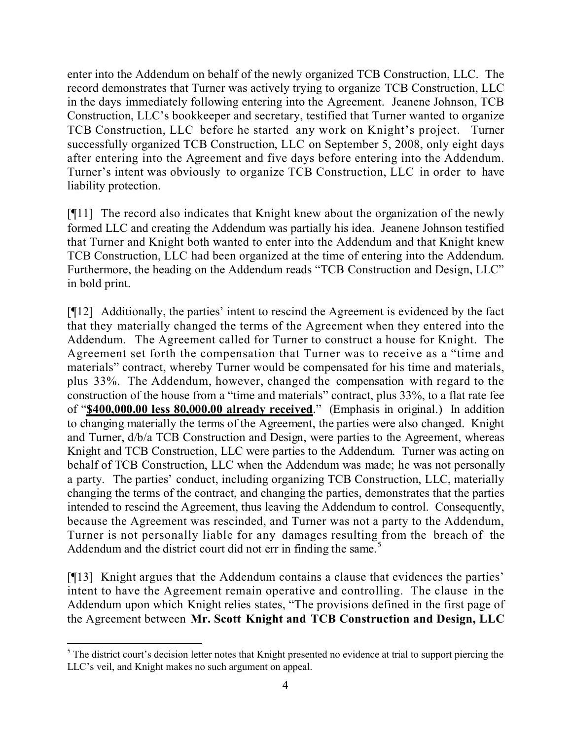enter into the Addendum on behalf of the newly organized TCB Construction, LLC. The record demonstrates that Turner was actively trying to organize TCB Construction, LLC in the days immediately following entering into the Agreement. Jeanene Johnson, TCB Construction, LLC's bookkeeper and secretary, testified that Turner wanted to organize TCB Construction, LLC before he started any work on Knight's project. Turner successfully organized TCB Construction, LLC on September 5, 2008, only eight days after entering into the Agreement and five days before entering into the Addendum. Turner's intent was obviously to organize TCB Construction, LLC in order to have liability protection.

[¶11] The record also indicates that Knight knew about the organization of the newly formed LLC and creating the Addendum was partially his idea. Jeanene Johnson testified that Turner and Knight both wanted to enter into the Addendum and that Knight knew TCB Construction, LLC had been organized at the time of entering into the Addendum. Furthermore, the heading on the Addendum reads "TCB Construction and Design, LLC" in bold print.

[¶12] Additionally, the parties' intent to rescind the Agreement is evidenced by the fact that they materially changed the terms of the Agreement when they entered into the Addendum. The Agreement called for Turner to construct a house for Knight. The Agreement set forth the compensation that Turner was to receive as a "time and materials" contract, whereby Turner would be compensated for his time and materials, plus 33%. The Addendum, however, changed the compensation with regard to the construction of the house from a "time and materials" contract, plus 33%, to a flat rate fee of "**\$400,000.00 less 80,000.00 already received**." (Emphasis in original.) In addition to changing materially the terms of the Agreement, the parties were also changed. Knight and Turner, d/b/a TCB Construction and Design, were parties to the Agreement, whereas Knight and TCB Construction, LLC were parties to the Addendum. Turner was acting on behalf of TCB Construction, LLC when the Addendum was made; he was not personally a party. The parties' conduct, including organizing TCB Construction, LLC, materially changing the terms of the contract, and changing the parties, demonstrates that the parties intended to rescind the Agreement, thus leaving the Addendum to control. Consequently, because the Agreement was rescinded, and Turner was not a party to the Addendum, Turner is not personally liable for any damages resulting from the breach of the Addendum and the district court did not err in finding the same.<sup>5</sup>

[¶13] Knight argues that the Addendum contains a clause that evidences the parties' intent to have the Agreement remain operative and controlling. The clause in the Addendum upon which Knight relies states, "The provisions defined in the first page of the Agreement between **Mr. Scott Knight and TCB Construction and Design, LLC**

l

<sup>&</sup>lt;sup>5</sup> The district court's decision letter notes that Knight presented no evidence at trial to support piercing the LLC's veil, and Knight makes no such argument on appeal.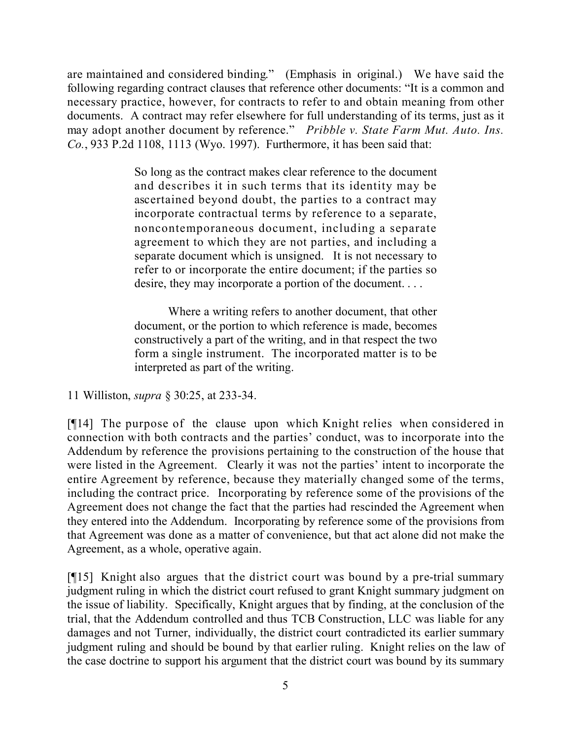are maintained and considered binding." (Emphasis in original.) We have said the following regarding contract clauses that reference other documents: "It is a common and necessary practice, however, for contracts to refer to and obtain meaning from other documents. A contract may refer elsewhere for full understanding of its terms, just as it may adopt another document by reference." *Pribble v. State Farm Mut. Auto. Ins. Co.*, 933 P.2d 1108, 1113 (Wyo. 1997). Furthermore, it has been said that:

> So long as the contract makes clear reference to the document and describes it in such terms that its identity may be ascertained beyond doubt, the parties to a contract may incorporate contractual terms by reference to a separate, noncontemporaneous document, including a separate agreement to which they are not parties, and including a separate document which is unsigned. It is not necessary to refer to or incorporate the entire document; if the parties so desire, they may incorporate a portion of the document. . . .

> Where a writing refers to another document, that other document, or the portion to which reference is made, becomes constructively a part of the writing, and in that respect the two form a single instrument. The incorporated matter is to be interpreted as part of the writing.

11 Williston, *supra* § 30:25, at 233-34.

[¶14] The purpose of the clause upon which Knight relies when considered in connection with both contracts and the parties' conduct, was to incorporate into the Addendum by reference the provisions pertaining to the construction of the house that were listed in the Agreement. Clearly it was not the parties' intent to incorporate the entire Agreement by reference, because they materially changed some of the terms, including the contract price. Incorporating by reference some of the provisions of the Agreement does not change the fact that the parties had rescinded the Agreement when they entered into the Addendum. Incorporating by reference some of the provisions from that Agreement was done as a matter of convenience, but that act alone did not make the Agreement, as a whole, operative again.

[¶15] Knight also argues that the district court was bound by a pre-trial summary judgment ruling in which the district court refused to grant Knight summary judgment on the issue of liability. Specifically, Knight argues that by finding, at the conclusion of the trial, that the Addendum controlled and thus TCB Construction, LLC was liable for any damages and not Turner, individually, the district court contradicted its earlier summary judgment ruling and should be bound by that earlier ruling. Knight relies on the law of the case doctrine to support his argument that the district court was bound by its summary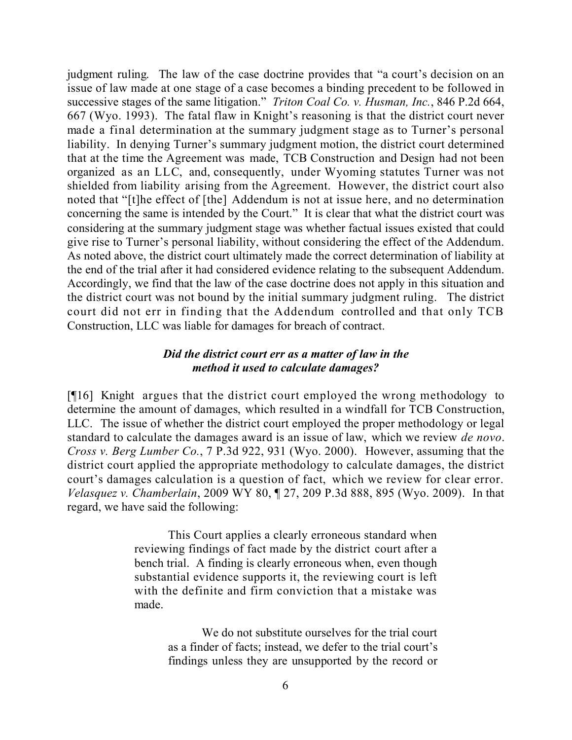judgment ruling. The law of the case doctrine provides that "a court's decision on an issue of law made at one stage of a case becomes a binding precedent to be followed in successive stages of the same litigation." *Triton Coal Co. v. Husman, Inc.*, 846 P.2d 664, 667 (Wyo. 1993). The fatal flaw in Knight's reasoning is that the district court never made a final determination at the summary judgment stage as to Turner's personal liability. In denying Turner's summary judgment motion, the district court determined that at the time the Agreement was made, TCB Construction and Design had not been organized as an LLC, and, consequently, under Wyoming statutes Turner was not shielded from liability arising from the Agreement. However, the district court also noted that "[t]he effect of [the] Addendum is not at issue here, and no determination concerning the same is intended by the Court." It is clear that what the district court was considering at the summary judgment stage was whether factual issues existed that could give rise to Turner's personal liability, without considering the effect of the Addendum. As noted above, the district court ultimately made the correct determination of liability at the end of the trial after it had considered evidence relating to the subsequent Addendum. Accordingly, we find that the law of the case doctrine does not apply in this situation and the district court was not bound by the initial summary judgment ruling. The district court did not err in finding that the Addendum controlled and that only TCB Construction, LLC was liable for damages for breach of contract.

### *Did the district court err as a matter of law in the method it used to calculate damages?*

[¶16] Knight argues that the district court employed the wrong methodology to determine the amount of damages, which resulted in a windfall for TCB Construction, LLC. The issue of whether the district court employed the proper methodology or legal standard to calculate the damages award is an issue of law, which we review *de novo*. *Cross v. Berg Lumber Co.*, 7 P.3d 922, 931 (Wyo. 2000). However, assuming that the district court applied the appropriate methodology to calculate damages, the district court's damages calculation is a question of fact, which we review for clear error. *Velasquez v. Chamberlain*, 2009 WY 80, ¶ 27, 209 P.3d 888, 895 (Wyo. 2009). In that regard, we have said the following:

> This Court applies a clearly erroneous standard when reviewing findings of fact made by the district court after a bench trial. A finding is clearly erroneous when, even though substantial evidence supports it, the reviewing court is left with the definite and firm conviction that a mistake was made.

> > We do not substitute ourselves for the trial court as a finder of facts; instead, we defer to the trial court's findings unless they are unsupported by the record or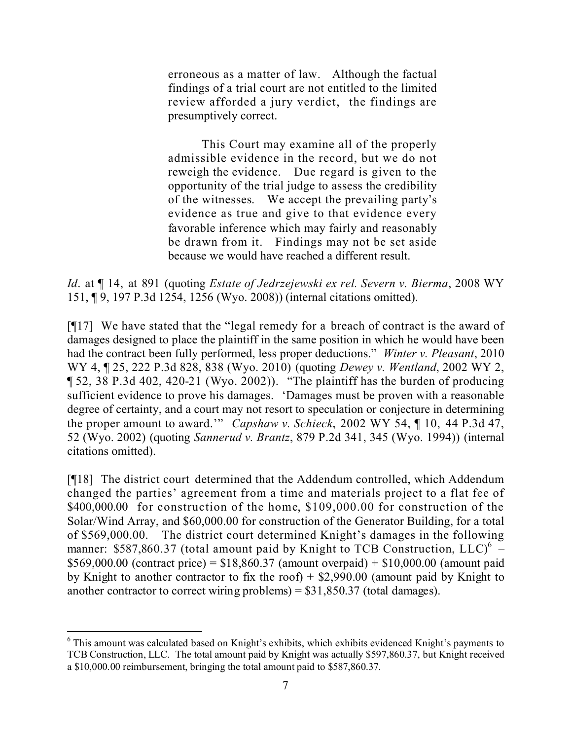erroneous as a matter of law. Although the factual findings of a trial court are not entitled to the limited review afforded a jury verdict, the findings are presumptively correct.

This Court may examine all of the properly admissible evidence in the record, but we do not reweigh the evidence. Due regard is given to the opportunity of the trial judge to assess the credibility of the witnesses. We accept the prevailing party's evidence as true and give to that evidence every favorable inference which may fairly and reasonably be drawn from it. Findings may not be set aside because we would have reached a different result.

*Id*. at ¶ 14, at 891 (quoting *Estate of Jedrzejewski ex rel. Severn v. Bierma*, 2008 WY 151, ¶ 9, 197 P.3d 1254, 1256 (Wyo. 2008)) (internal citations omitted).

[¶17] We have stated that the "legal remedy for a breach of contract is the award of damages designed to place the plaintiff in the same position in which he would have been had the contract been fully performed, less proper deductions." *Winter v. Pleasant*, 2010 WY 4, ¶ 25, 222 P.3d 828, 838 (Wyo. 2010) (quoting *Dewey v. Wentland*, 2002 WY 2, ¶ 52, 38 P.3d 402, 420-21 (Wyo. 2002)). "The plaintiff has the burden of producing sufficient evidence to prove his damages. 'Damages must be proven with a reasonable degree of certainty, and a court may not resort to speculation or conjecture in determining the proper amount to award.'" *Capshaw v. Schieck*, 2002 WY 54, ¶ 10, 44 P.3d 47, 52 (Wyo. 2002) (quoting *Sannerud v. Brantz*, 879 P.2d 341, 345 (Wyo. 1994)) (internal citations omitted).

[¶18] The district court determined that the Addendum controlled, which Addendum changed the parties' agreement from a time and materials project to a flat fee of \$400,000.00 for construction of the home, \$109,000.00 for construction of the Solar/Wind Array, and \$60,000.00 for construction of the Generator Building, for a total of \$569,000.00. The district court determined Knight's damages in the following manner: \$587,860.37 (total amount paid by Knight to TCB Construction,  $LLC$ )<sup>6</sup> – \$569,000.00 (contract price) = \$18,860.37 (amount overpaid) + \$10,000.00 (amount paid by Knight to another contractor to fix the roof) + \$2,990.00 (amount paid by Knight to another contractor to correct wiring problems) =  $$31,850.37$  (total damages).

l <sup>6</sup> This amount was calculated based on Knight's exhibits, which exhibits evidenced Knight's payments to TCB Construction, LLC. The total amount paid by Knight was actually \$597,860.37, but Knight received a \$10,000.00 reimbursement, bringing the total amount paid to \$587,860.37.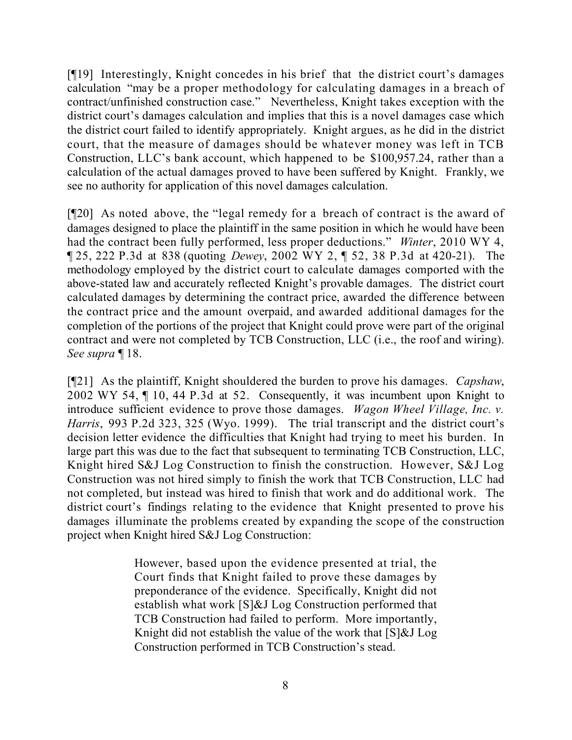[¶19] Interestingly, Knight concedes in his brief that the district court's damages calculation "may be a proper methodology for calculating damages in a breach of contract/unfinished construction case." Nevertheless, Knight takes exception with the district court's damages calculation and implies that this is a novel damages case which the district court failed to identify appropriately. Knight argues, as he did in the district court, that the measure of damages should be whatever money was left in TCB Construction, LLC's bank account, which happened to be \$100,957.24, rather than a calculation of the actual damages proved to have been suffered by Knight. Frankly, we see no authority for application of this novel damages calculation.

[¶20] As noted above, the "legal remedy for a breach of contract is the award of damages designed to place the plaintiff in the same position in which he would have been had the contract been fully performed, less proper deductions." *Winter*, 2010 WY 4, ¶ 25, 222 P.3d at 838 (quoting *Dewey*, 2002 WY 2, ¶ 52, 38 P.3d at 420-21). The methodology employed by the district court to calculate damages comported with the above-stated law and accurately reflected Knight's provable damages. The district court calculated damages by determining the contract price, awarded the difference between the contract price and the amount overpaid, and awarded additional damages for the completion of the portions of the project that Knight could prove were part of the original contract and were not completed by TCB Construction, LLC (i.e., the roof and wiring). *See supra* ¶ 18.

[¶21] As the plaintiff, Knight shouldered the burden to prove his damages. *Capshaw*, 2002 WY 54, ¶ 10, 44 P.3d at 52. Consequently, it was incumbent upon Knight to introduce sufficient evidence to prove those damages. *Wagon Wheel Village, Inc. v. Harris*, 993 P.2d 323, 325 (Wyo. 1999). The trial transcript and the district court's decision letter evidence the difficulties that Knight had trying to meet his burden. In large part this was due to the fact that subsequent to terminating TCB Construction, LLC, Knight hired S&J Log Construction to finish the construction. However, S&J Log Construction was not hired simply to finish the work that TCB Construction, LLC had not completed, but instead was hired to finish that work and do additional work. The district court's findings relating to the evidence that Knight presented to prove his damages illuminate the problems created by expanding the scope of the construction project when Knight hired S&J Log Construction:

> However, based upon the evidence presented at trial, the Court finds that Knight failed to prove these damages by preponderance of the evidence. Specifically, Knight did not establish what work [S]&J Log Construction performed that TCB Construction had failed to perform. More importantly, Knight did not establish the value of the work that [S]&J Log Construction performed in TCB Construction's stead.